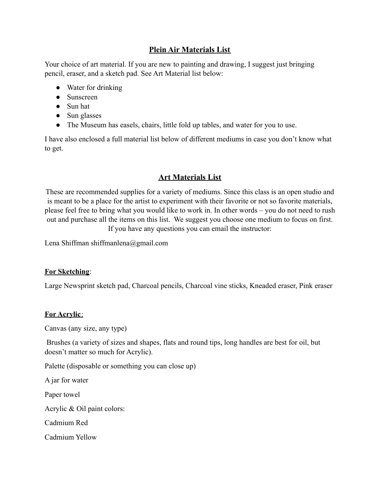# **Plein Air Materials List**

Your choice of art material. If you are new to painting and drawing, I suggest just bringing pencil, eraser, and a sketch pad. See Art Material list below:

- Water for drinking
- Sunscreen
- Sun hat
- Sun glasses
- The Museum has easels, chairs, little fold up tables, and water for you to use.

I have also enclosed a full material list below of different mediums in case you don't know what to get.

## **Art Materials List**

These are recommended supplies for a variety of mediums. Since this class is an open studio and is meant to be a place for the artist to experiment with their favorite or not so favorite materials, please feel free to bring what you would like to work in. In other words – you do not need to rush out and purchase all the items on this list. We suggest you choose one medium to focus on first. If you have any questions you can email the instructor:

Lena Shiffman shiffmanlena@gmail.com

### **For Sketching**:

Large Newsprint sketch pad, Charcoal pencils, Charcoal vine sticks, Kneaded eraser, Pink eraser

## **For Acrylic**:

Canvas (any size, any type)

Brushes (a variety of sizes and shapes, flats and round tips, long handles are best for oil, but doesn't matter so much for Acrylic).

Palette (disposable or something you can close up)

A jar for water

Paper towel

Acrylic & Oil paint colors:

Cadmium Red

Cadmium Yellow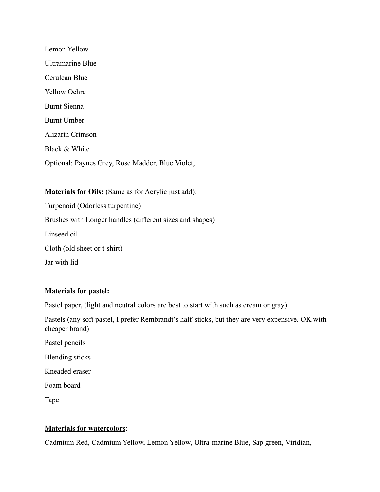Lemon Yellow Ultramarine Blue Cerulean Blue Yellow Ochre Burnt Sienna Burnt Umber Alizarin Crimson Black & White Optional: Paynes Grey, Rose Madder, Blue Violet,

**Materials for Oils:** (Same as for Acrylic just add): Turpenoid (Odorless turpentine) Brushes with Longer handles (different sizes and shapes) Linseed oil

Cloth (old sheet or t-shirt)

Jar with lid

#### **Materials for pastel:**

Pastel paper, (light and neutral colors are best to start with such as cream or gray)

Pastels (any soft pastel, I prefer Rembrandt's half-sticks, but they are very expensive. OK with cheaper brand)

- Pastel pencils
- Blending sticks
- Kneaded eraser
- Foam board

Tape

#### **Materials for watercolors**:

Cadmium Red, Cadmium Yellow, Lemon Yellow, Ultra-marine Blue, Sap green, Viridian,